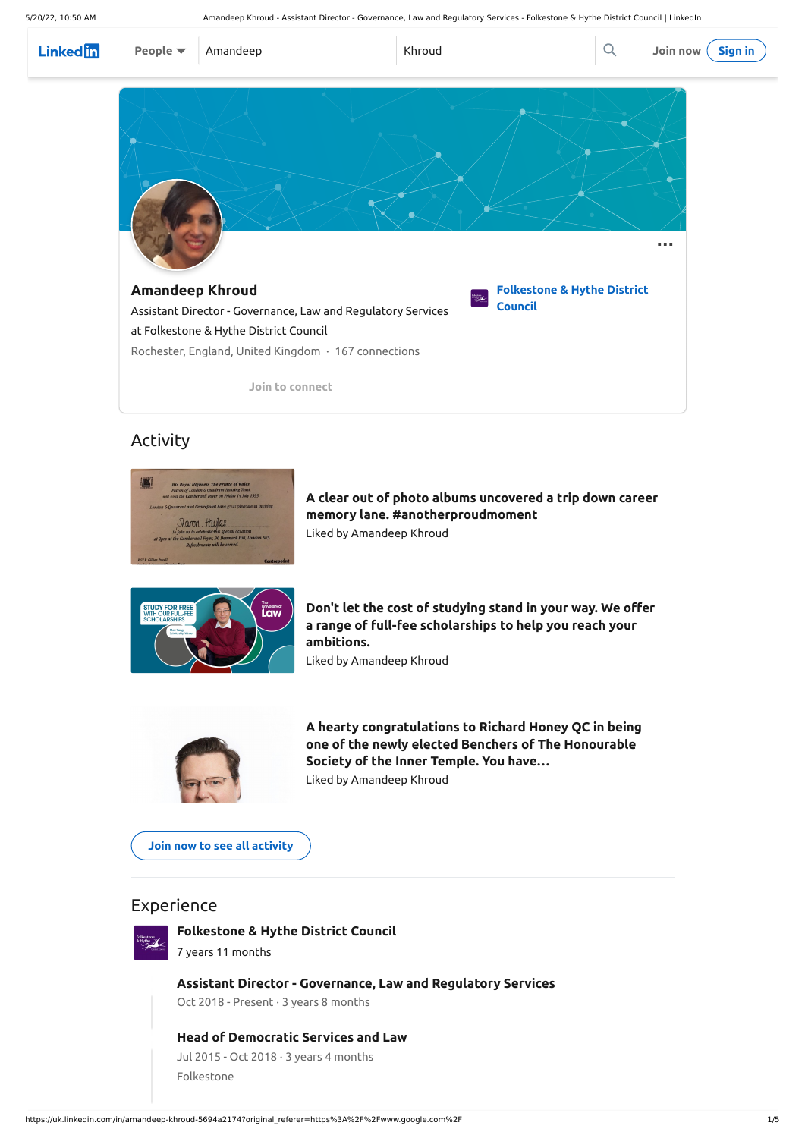# Activity



# Experience



### **[Folkestone](https://uk.linkedin.com/company/folkestone-hythe-district-council?trk=public_profile_experience-group-header) & Hythe District Council**

7 years 11 months

**A clear out of photo albums uncovered a trip down career memory lane. [#anotherproudmoment](https://www.linkedin.com/signup/cold-join?session_redirect=https%3A%2F%2Fuk%2Elinkedin%2Ecom%2Fposts%2Fsharon-hayles-b2665b37_anotherproudmoment-share-6888570187419856896-Vy7-&trk=public_profile_like_view)**

Liked by [Amandeep](https://uk.linkedin.com/in/amandeep-khroud-5694a2174?trk=public_profile_like_view_actor-name) Khroud



**Don't let the cost of studying stand in your way. We offer a range of full-fee [scholarships](https://www.linkedin.com/signup/cold-join?session_redirect=https%3A%2F%2Fuk%2Elinkedin%2Ecom%2Fposts%2Fthe-university-of-law_full-fee-scholarships-available-apply-now-share-6783102555309268992-brwq&trk=public_profile_like_view) to help you reach your ambitions.**

Liked by [Amandeep](https://uk.linkedin.com/in/amandeep-khroud-5694a2174?trk=public_profile_like_view_actor-name) Khroud





**A hearty [congratulations](https://www.linkedin.com/signup/cold-join?session_redirect=https%3A%2F%2Fuk%2Elinkedin%2Ecom%2Fposts%2Ffrancis-turay-ab2057172_inspiration-lawyering-innertemple-share-6826048268594647040-wKTt&trk=public_profile_like_view) to Richard Honey QC in being one of the newly elected Benchers of The Honourable Society of the Inner Temple. You have…**

Liked by [Amandeep](https://uk.linkedin.com/in/amandeep-khroud-5694a2174?trk=public_profile_like_view_actor-name) Khroud

**Join now to see all [activity](https://www.linkedin.com/signup/cold-join?session_redirect=https%3A%2F%2Fuk%2Elinkedin%2Ecom%2Fin%2Famandeep-khroud-5694a2174%2Frecent-activity%2F&trk=public_profile_see-all-posts)**

### **Assistant Director - Governance, Law and Regulatory Services**

Oct 2018 - Present · 3 years 8 months

### **Head of Democratic Services and Law**

Jul 2015 - Oct 2018 · 3 years 4 months

Folkestone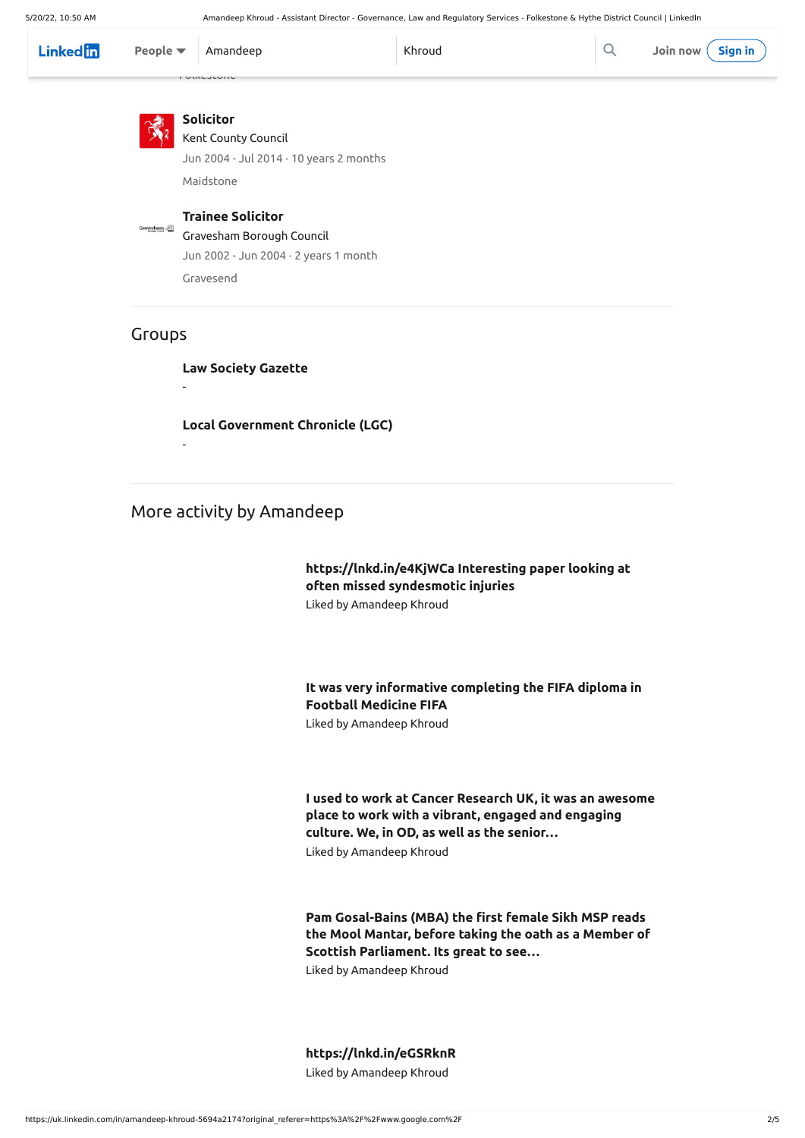# Groups

More activity by Amandeep

Folkestone





Jun 2004 - Jul 2014 · 10 years 2 months

Maidstone

Kent County [Council](https://uk.linkedin.com/company/kent-county-council?trk=public_profile_experience-item_profile-section-card_subtitle-click)

**Trainee Solicitor**

Jun 2002 - Jun 2004 · 2 years 1 month Gravesend [Gravesham](https://uk.linkedin.com/company/gravesham-borough-council?trk=public_profile_experience-item_profile-section-card_subtitle-click) Borough Council

**Law Society [Gazette](https://www.linkedin.com/groups/2078586?trk=public_profile_group_profile-section-card_full-click)**

-

**Local [Government](https://www.linkedin.com/groups/693327?trk=public_profile_group_profile-section-card_full-click) Chronicle (LGC)**

-

**[https://lnkd.in/e4KjWCa](https://www.linkedin.com/signup/cold-join?session_redirect=https%3A%2F%2Fuk%2Elinkedin%2Ecom%2Fposts%2Fbal-dhinsa-21811b2b_sub-acute-syndesmotic-injury-a-review-and-share-6825882512699510784-ovKt&trk=public_profile_like_view) Interesting paper looking at often missed syndesmotic injuries**

Liked by [Amandeep](https://uk.linkedin.com/in/amandeep-khroud-5694a2174?trk=public_profile_like_view_actor-name) Khroud

## **It was very [informative](https://www.linkedin.com/signup/cold-join?session_redirect=https%3A%2F%2Fuk%2Elinkedin%2Ecom%2Fposts%2Fbal-dhinsa-21811b2b_it-was-very-informative-completing-the-fifa-share-6814877866526851072-CC7q&trk=public_profile_like_view) completing the FIFA diploma in Football Medicine FIFA**

| Linkedin | People $\blacktriangledown$ Amandeep |  | Khroud |  | $\boxed{\hspace{0.2cm} \textsf{Q} \hspace{0.3cm} \textsf{Join now} \hspace{0.2cm} \boxed{\hspace{0.2cm} \textsf{Sign in}}}$ |  |
|----------|--------------------------------------|--|--------|--|-----------------------------------------------------------------------------------------------------------------------------|--|
|----------|--------------------------------------|--|--------|--|-----------------------------------------------------------------------------------------------------------------------------|--|

Liked by [Amandeep](https://uk.linkedin.com/in/amandeep-khroud-5694a2174?trk=public_profile_like_view_actor-name) Khroud

**I used to work at Cancer Research UK, it was an [awesome](https://www.linkedin.com/signup/cold-join?session_redirect=https%3A%2F%2Fuk%2Elinkedin%2Ecom%2Fposts%2Fjo-gage-2021901_interested-in-becoming-one-of-the-2022-best-share-6808491275470307328--7o_&trk=public_profile_like_view) place to work with a vibrant, engaged and engaging culture. We, in OD, as well as the senior…**

Liked by [Amandeep](https://uk.linkedin.com/in/amandeep-khroud-5694a2174?trk=public_profile_like_view_actor-name) Khroud

**Pam [Gosal-Bains](https://www.linkedin.com/signup/cold-join?session_redirect=https%3A%2F%2Fuk%2Elinkedin%2Ecom%2Fposts%2Fdiversity-equality-womensequalityday-ugcPost-6799077736242659328-mPX-&trk=public_profile_like_view) (MBA) the first female Sikh MSP reads the Mool Mantar, before taking the oath as a Member of Scottish Parliament. Its great to see…**

Liked by [Amandeep](https://uk.linkedin.com/in/amandeep-khroud-5694a2174?trk=public_profile_like_view_actor-name) Khroud

### **[https://lnkd.in/eGSRknR](https://www.linkedin.com/signup/cold-join?session_redirect=https%3A%2F%2Fuk%2Elinkedin%2Ecom%2Fposts%2Fbal-dhinsa-21811b2b_httpslnkdinegsrknr-share-6801259942998269954-IRX3&trk=public_profile_like_view)** Liked by [Amandeep](https://uk.linkedin.com/in/amandeep-khroud-5694a2174?trk=public_profile_like_view_actor-name) Khroud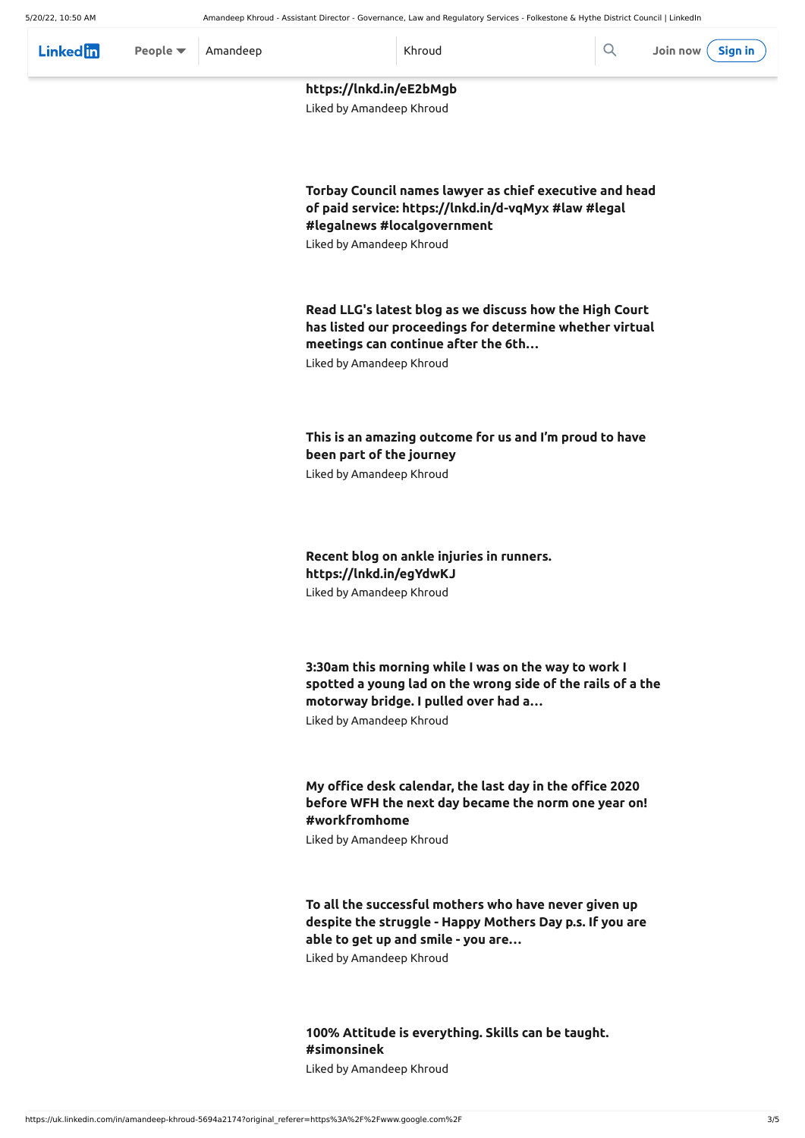Liked by [Amandeep](https://uk.linkedin.com/in/amandeep-khroud-5694a2174?trk=public_profile_like_view_actor-name) Khroud

## **Torbay Council names lawyer as chief executive and head of paid service: [https://lnkd.in/d-vqMyx](https://www.linkedin.com/signup/cold-join?session_redirect=https%3A%2F%2Fuk%2Elinkedin%2Ecom%2Fposts%2Fderek-bedlow-3128497_law-legal-legalnews-share-6784988523968663552-bqHb&trk=public_profile_like_view) #law #legal #legalnews #localgovernment**

Liked by [Amandeep](https://uk.linkedin.com/in/amandeep-khroud-5694a2174?trk=public_profile_like_view_actor-name) Khroud

### **Read LLG's latest blog as we discuss how the High Court has listed our [proceedings](https://www.linkedin.com/signup/cold-join?session_redirect=https%3A%2F%2Fuk%2Elinkedin%2Ecom%2Fposts%2Flawyers-in-local-government-6abb1515b_read-llgs-latest-blog-as-we-discuss-how-share-6785173164465901568-CSXP&trk=public_profile_like_view) for determine whether virtual meetings can continue after the 6th…**

Liked by [Amandeep](https://uk.linkedin.com/in/amandeep-khroud-5694a2174?trk=public_profile_like_view_actor-name) Khroud

### **This is an amazing [outcome](https://www.linkedin.com/signup/cold-join?session_redirect=https%3A%2F%2Fuk%2Elinkedin%2Ecom%2Fposts%2Ffolkestone-hythe-district-council_were-delighted-to-announce-that-we-have-share-6781240924916727808-GS6d&trk=public_profile_like_view) for us and I'm proud to have been part of the journey** Liked by [Amandeep](https://uk.linkedin.com/in/amandeep-khroud-5694a2174?trk=public_profile_like_view_actor-name) Khroud

# **Recent blog on ankle injuries in runners. [https://lnkd.in/egYdwKJ](https://www.linkedin.com/signup/cold-join?session_redirect=https%3A%2F%2Fuk%2Elinkedin%2Ecom%2Fposts%2Fbal-dhinsa-21811b2b_recent-blog-on-ankle-injuries-in-runners-share-6779080922525421569-NbLb&trk=public_profile_like_view)**

Liked by [Amandeep](https://uk.linkedin.com/in/amandeep-khroud-5694a2174?trk=public_profile_like_view_actor-name) Khroud

| Linkedin                | People $\blacktriangledown$ | Amandeep | Khroud |  | Join now ( Sign in |  |
|-------------------------|-----------------------------|----------|--------|--|--------------------|--|
| https://lnkd.in/eE2bMgb |                             |          |        |  |                    |  |

## **3:30am this morning while I was on the way to work I spotted a young lad on the wrong side of the rails of a the [motorway](https://www.linkedin.com/signup/cold-join?session_redirect=https%3A%2F%2Fuk%2Elinkedin%2Ecom%2Fposts%2Fstephen-england-b46540153_itsgoodtotalk-mentalhealthawareness-mentalhealthisimportant-share-6776092309235781632-Li95&trk=public_profile_like_view) bridge. I pulled over had a…**

Liked by [Amandeep](https://uk.linkedin.com/in/amandeep-khroud-5694a2174?trk=public_profile_like_view_actor-name) Khroud

### **My office desk calendar, the last day in the office 2020 before WFH the next day became the norm one year on! [#workfromhome](https://www.linkedin.com/signup/cold-join?session_redirect=https%3A%2F%2Fuk%2Elinkedin%2Ecom%2Fposts%2Fsharon-hayles-b2665b37_workfromhome-share-6778066758805807104-sD2l&trk=public_profile_like_view)**

Liked by [Amandeep](https://uk.linkedin.com/in/amandeep-khroud-5694a2174?trk=public_profile_like_view_actor-name) Khroud

**To all the [successful](https://www.linkedin.com/signup/cold-join?session_redirect=https%3A%2F%2Fuk%2Elinkedin%2Ecom%2Fposts%2Fdr-arpinder-bansi-6b744411_to-all-the-successful-mothers-who-have-never-share-6776851496471543808-6A8-&trk=public_profile_like_view) mothers who have never given up despite the struggle - Happy Mothers Day p.s. If you are able to get up and smile - you are…**

Liked by [Amandeep](https://uk.linkedin.com/in/amandeep-khroud-5694a2174?trk=public_profile_like_view_actor-name) Khroud

# **100% Attitude is everything. Skills can be taught. [#simonsinek](https://www.linkedin.com/signup/cold-join?session_redirect=https%3A%2F%2Fuk%2Elinkedin%2Ecom%2Fposts%2Finnergy_simonsinek-share-6774037093585833984-0xWR&trk=public_profile_like_view)**

Liked by [Amandeep](https://uk.linkedin.com/in/amandeep-khroud-5694a2174?trk=public_profile_like_view_actor-name) Khroud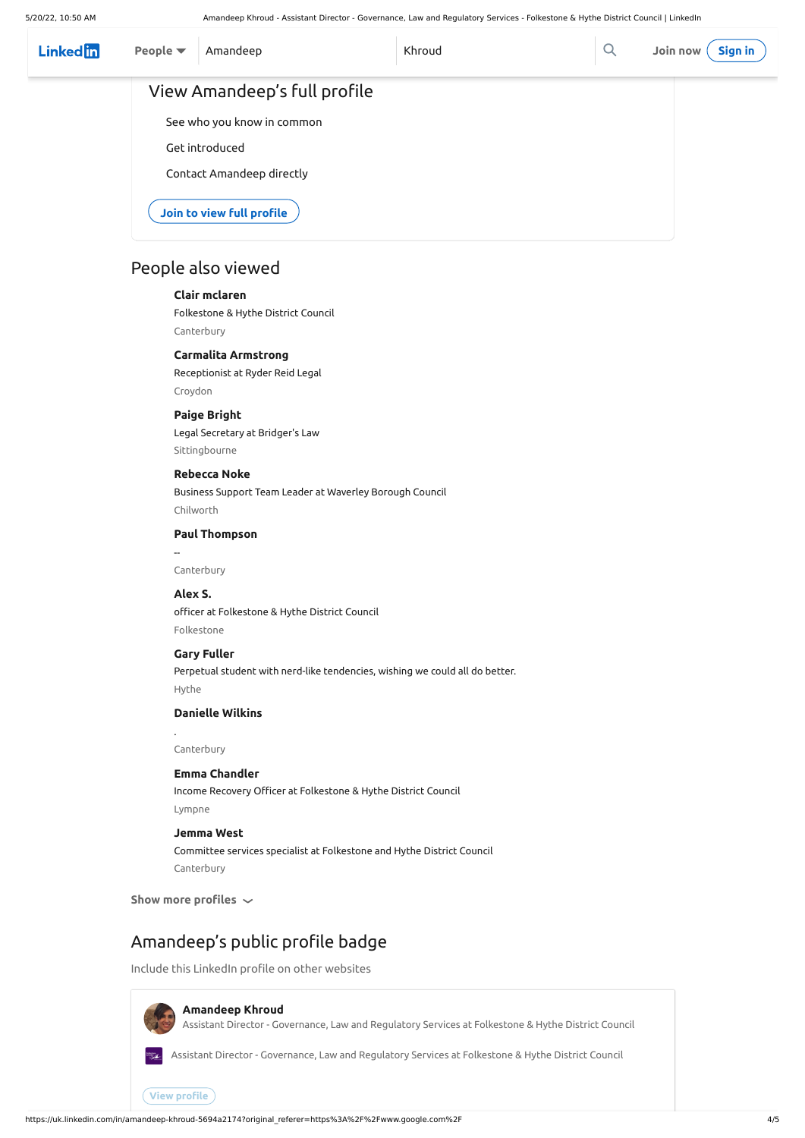# People also viewed

# Amandeep's public profile badge

Include this LinkedIn profile on other websites



Folkestone & Hythe District Council [Canterbury](https://uk.linkedin.com/in/clair-mclaren-17727b174?trk=public_profile_browsemap)

### **Clair mclaren**

Receptionist at Ryder Reid Legal Croydon

#### **Carmalita [Armstrong](https://uk.linkedin.com/in/carmalita-armstrong-5a7632146?trk=public_profile_browsemap)**

Legal Secretary at Bridger's Law [Sittingbourne](https://uk.linkedin.com/in/paige-bright-4b80a7168?trk=public_profile_browsemap)

#### **Paige Bright**

Business Support Team Leader at Waverley Borough Council Chilworth

### **[Rebecca](https://uk.linkedin.com/in/rebecca-noke-353010a7?trk=public_profile_browsemap) Noke**

--

Canterbury

#### **Paul [Thompson](https://uk.linkedin.com/in/paul-thompson-a34735227?trk=public_profile_browsemap)**

officer at Folkestone & Hythe District Council

[Folkestone](https://uk.linkedin.com/in/alex-s-730b3ba9?trk=public_profile_browsemap)

#### **Alex S.**

| <b>Linked</b> in | People $\blacktriangledown$ | Amandeep                         | Khroud | $\mathsf{Q}$ | Join now<br>Sign in |
|------------------|-----------------------------|----------------------------------|--------|--------------|---------------------|
|                  |                             | View Amandeep's full profile     |        |              |                     |
|                  |                             | See who you know in common       |        |              |                     |
|                  |                             | Get introduced                   |        |              |                     |
|                  |                             | <b>Contact Amandeep directly</b> |        |              |                     |
|                  |                             | Join to view full profile        |        |              |                     |

Perpetual student with nerd-like [tendencies,](https://uk.linkedin.com/in/garymarkfuller?trk=public_profile_browsemap) wishing we could all do better. Hythe

#### **Gary Fuller**

.

Canterbury

### **[Danielle](https://uk.linkedin.com/in/danielle-wilkins-408983180?trk=public_profile_browsemap) Wilkins**

Income Recovery Officer at Folkestone & Hythe District Council

Lympne

### **Emma [Chandler](https://uk.linkedin.com/in/emma-chandler-7964281b9?trk=public_profile_browsemap)**

Committee services specialist at Folkestone and Hythe District Council

[Canterbury](https://uk.linkedin.com/in/jemma-west-83a182125?trk=public_profile_browsemap)

#### **Jemma West**

**Show more profiles**

### **Amandeep Khroud**

Assistant Director - Governance, Law and Regulatory Services at Folkestone & Hythe District Council



Assistant Director - Governance, Law and Regulatory Services at Folkestone & Hythe District Council